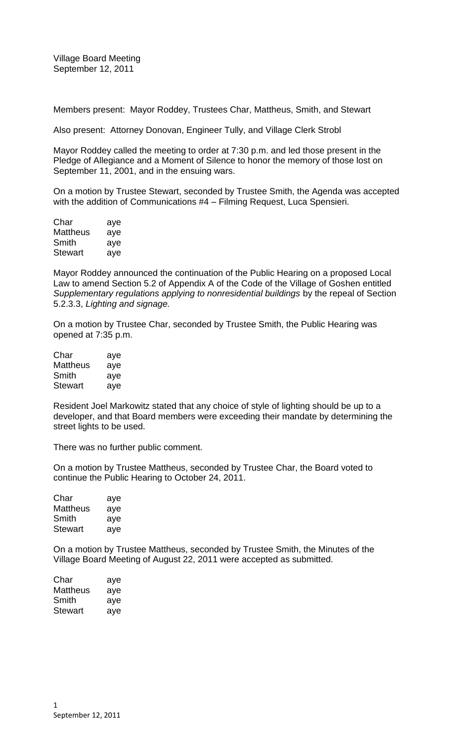Members present: Mayor Roddey, Trustees Char, Mattheus, Smith, and Stewart

Also present: Attorney Donovan, Engineer Tully, and Village Clerk Strobl

Mayor Roddey called the meeting to order at 7:30 p.m. and led those present in the Pledge of Allegiance and a Moment of Silence to honor the memory of those lost on September 11, 2001, and in the ensuing wars.

On a motion by Trustee Stewart, seconded by Trustee Smith, the Agenda was accepted with the addition of Communications #4 – Filming Request, Luca Spensieri.

| Char           | aye |
|----------------|-----|
| Mattheus       | aye |
| Smith          | aye |
| <b>Stewart</b> | aye |

Mayor Roddey announced the continuation of the Public Hearing on a proposed Local Law to amend Section 5.2 of Appendix A of the Code of the Village of Goshen entitled *Supplementary regulations applying to nonresidential buildings* by the repeal of Section 5.2.3.3, *Lighting and signage.*

On a motion by Trustee Char, seconded by Trustee Smith, the Public Hearing was opened at 7:35 p.m.

| Char     | aye |
|----------|-----|
| Mattheus | aye |
| Smith    | aye |
| Stewart  | aye |

Resident Joel Markowitz stated that any choice of style of lighting should be up to a developer, and that Board members were exceeding their mandate by determining the street lights to be used.

There was no further public comment.

On a motion by Trustee Mattheus, seconded by Trustee Char, the Board voted to continue the Public Hearing to October 24, 2011.

| Char     | aye |
|----------|-----|
| Mattheus | aye |
| Smith    | aye |
| Stewart  | aye |

On a motion by Trustee Mattheus, seconded by Trustee Smith, the Minutes of the Village Board Meeting of August 22, 2011 were accepted as submitted.

| Char     | aye |
|----------|-----|
| Mattheus | aye |
| Smith    | aye |
| Stewart  | aye |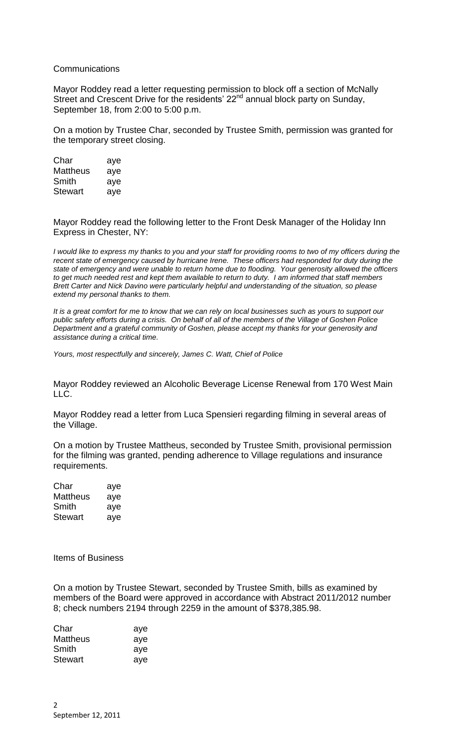## **Communications**

Mayor Roddey read a letter requesting permission to block off a section of McNally Street and Crescent Drive for the residents' 22<sup>nd</sup> annual block party on Sunday, September 18, from 2:00 to 5:00 p.m.

On a motion by Trustee Char, seconded by Trustee Smith, permission was granted for the temporary street closing.

| Char            | aye |
|-----------------|-----|
| <b>Mattheus</b> | aye |
| Smith           | aye |
| Stewart         | aye |

Mayor Roddey read the following letter to the Front Desk Manager of the Holiday Inn Express in Chester, NY:

*I would like to express my thanks to you and your staff for providing rooms to two of my officers during the recent state of emergency caused by hurricane Irene. These officers had responded for duty during the state of emergency and were unable to return home due to flooding. Your generosity allowed the officers to get much needed rest and kept them available to return to duty. I am informed that staff members Brett Carter and Nick Davino were particularly helpful and understanding of the situation, so please extend my personal thanks to them.*

*It is a great comfort for me to know that we can rely on local businesses such as yours to support our public safety efforts during a crisis. On behalf of all of the members of the Village of Goshen Police Department and a grateful community of Goshen, please accept my thanks for your generosity and assistance during a critical time.*

*Yours, most respectfully and sincerely, James C. Watt, Chief of Police*

Mayor Roddey reviewed an Alcoholic Beverage License Renewal from 170 West Main LLC.

Mayor Roddey read a letter from Luca Spensieri regarding filming in several areas of the Village.

On a motion by Trustee Mattheus, seconded by Trustee Smith, provisional permission for the filming was granted, pending adherence to Village regulations and insurance requirements.

| Char     | aye |
|----------|-----|
| Mattheus | aye |
| Smith    | aye |
| Stewart  | aye |

Items of Business

On a motion by Trustee Stewart, seconded by Trustee Smith, bills as examined by members of the Board were approved in accordance with Abstract 2011/2012 number 8; check numbers 2194 through 2259 in the amount of \$378,385.98.

| Char           | aye |
|----------------|-----|
| Mattheus       | aye |
| Smith          | ave |
| <b>Stewart</b> | ave |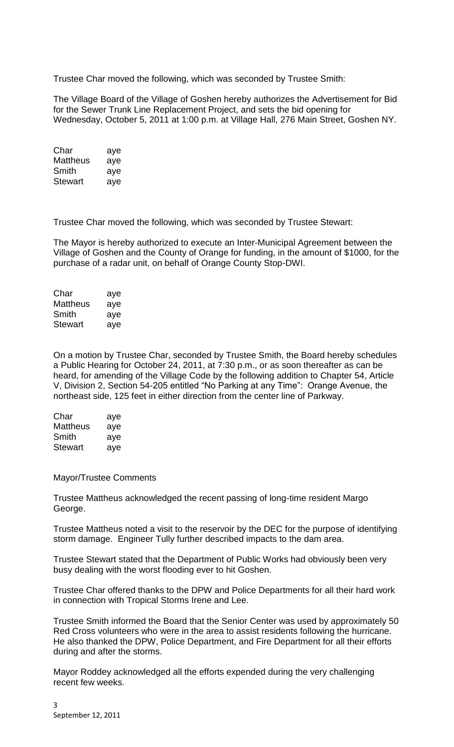Trustee Char moved the following, which was seconded by Trustee Smith:

The Village Board of the Village of Goshen hereby authorizes the Advertisement for Bid for the Sewer Trunk Line Replacement Project, and sets the bid opening for Wednesday, October 5, 2011 at 1:00 p.m. at Village Hall, 276 Main Street, Goshen NY.

Char aye Mattheus aye Smith aye Stewart aye

Trustee Char moved the following, which was seconded by Trustee Stewart:

The Mayor is hereby authorized to execute an Inter-Municipal Agreement between the Village of Goshen and the County of Orange for funding, in the amount of \$1000, for the purchase of a radar unit, on behalf of Orange County Stop-DWI.

| Char     | aye |
|----------|-----|
| Mattheus | aye |
| Smith    | aye |
| Stewart  | aye |

On a motion by Trustee Char, seconded by Trustee Smith, the Board hereby schedules a Public Hearing for October 24, 2011, at 7:30 p.m., or as soon thereafter as can be heard, for amending of the Village Code by the following addition to Chapter 54, Article V, Division 2, Section 54-205 entitled "No Parking at any Time": Orange Avenue, the northeast side, 125 feet in either direction from the center line of Parkway.

| Char     | aye |
|----------|-----|
| Mattheus | aye |
| Smith    | aye |
| Stewart  | aye |

Mayor/Trustee Comments

Trustee Mattheus acknowledged the recent passing of long-time resident Margo George.

Trustee Mattheus noted a visit to the reservoir by the DEC for the purpose of identifying storm damage. Engineer Tully further described impacts to the dam area.

Trustee Stewart stated that the Department of Public Works had obviously been very busy dealing with the worst flooding ever to hit Goshen.

Trustee Char offered thanks to the DPW and Police Departments for all their hard work in connection with Tropical Storms Irene and Lee.

Trustee Smith informed the Board that the Senior Center was used by approximately 50 Red Cross volunteers who were in the area to assist residents following the hurricane. He also thanked the DPW, Police Department, and Fire Department for all their efforts during and after the storms.

Mayor Roddey acknowledged all the efforts expended during the very challenging recent few weeks.